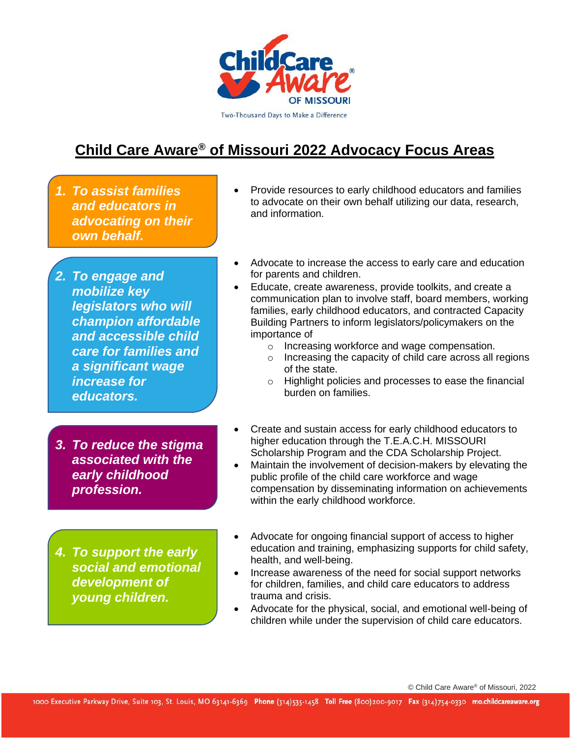

# **Child Care Aware® of Missouri 2022 Advocacy Focus Areas**

- *1. To assist families and educators in advocating on their own behalf.*
- *2. To engage and mobilize key legislators who will champion affordable and accessible child care for families and a significant wage increase for educators.*
- *3. To reduce the stigma associated with the early childhood profession.*
- *4. To support the early social and emotional development of young children.*
- Provide resources to early childhood educators and families to advocate on their own behalf utilizing our data, research, and information.
- Advocate to increase the access to early care and education for parents and children.
- Educate, create awareness, provide toolkits, and create a communication plan to involve staff, board members, working families, early childhood educators, and contracted Capacity Building Partners to inform legislators/policymakers on the importance of
	- o Increasing workforce and wage compensation.
	- o Increasing the capacity of child care across all regions of the state.
	- o Highlight policies and processes to ease the financial burden on families.
- Create and sustain access for early childhood educators to higher education through the T.E.A.C.H. MISSOURI Scholarship Program and the CDA Scholarship Project.
- Maintain the involvement of decision-makers by elevating the public profile of the child care workforce and wage compensation by disseminating information on achievements within the early childhood workforce.
- Advocate for ongoing financial support of access to higher education and training, emphasizing supports for child safety, health, and well-being.
- Increase awareness of the need for social support networks for children, families, and child care educators to address trauma and crisis.
- Advocate for the physical, social, and emotional well-being of children while under the supervision of child care educators.

© Child Care Aware® of Missouri, 2022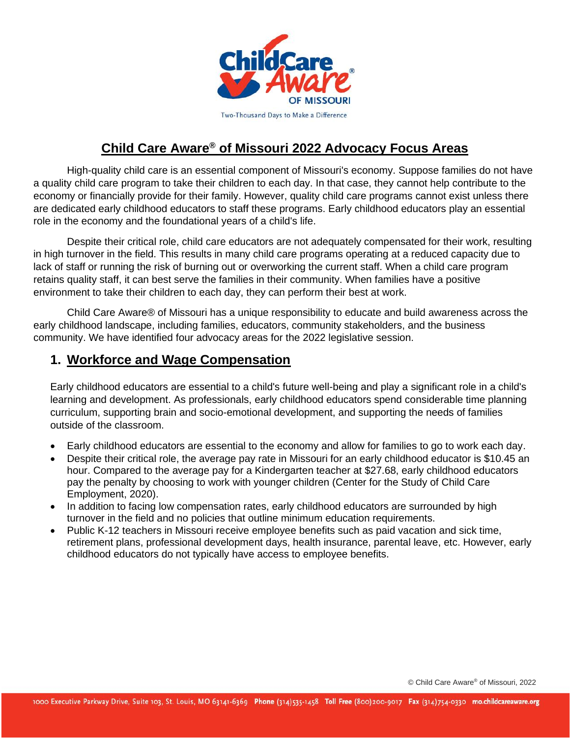

## **Child Care Aware® of Missouri 2022 Advocacy Focus Areas**

High-quality child care is an essential component of Missouri's economy. Suppose families do not have a quality child care program to take their children to each day. In that case, they cannot help contribute to the economy or financially provide for their family. However, quality child care programs cannot exist unless there are dedicated early childhood educators to staff these programs. Early childhood educators play an essential role in the economy and the foundational years of a child's life.

Despite their critical role, child care educators are not adequately compensated for their work, resulting in high turnover in the field. This results in many child care programs operating at a reduced capacity due to lack of staff or running the risk of burning out or overworking the current staff. When a child care program retains quality staff, it can best serve the families in their community. When families have a positive environment to take their children to each day, they can perform their best at work.

Child Care Aware® of Missouri has a unique responsibility to educate and build awareness across the early childhood landscape, including families, educators, community stakeholders, and the business community. We have identified four advocacy areas for the 2022 legislative session.

#### **1. Workforce and Wage Compensation**

Early childhood educators are essential to a child's future well-being and play a significant role in a child's learning and development. As professionals, early childhood educators spend considerable time planning curriculum, supporting brain and socio-emotional development, and supporting the needs of families outside of the classroom.

- Early childhood educators are essential to the economy and allow for families to go to work each day.
- Despite their critical role, the average pay rate in Missouri for an early childhood educator is \$10.45 an hour. Compared to the average pay for a Kindergarten teacher at \$27.68, early childhood educators pay the penalty by choosing to work with younger children (Center for the Study of Child Care Employment, 2020).
- In addition to facing low compensation rates, early childhood educators are surrounded by high turnover in the field and no policies that outline minimum education requirements.
- Public K-12 teachers in Missouri receive employee benefits such as paid vacation and sick time, retirement plans, professional development days, health insurance, parental leave, etc. However, early childhood educators do not typically have access to employee benefits.

© Child Care Aware® of Missouri, 2022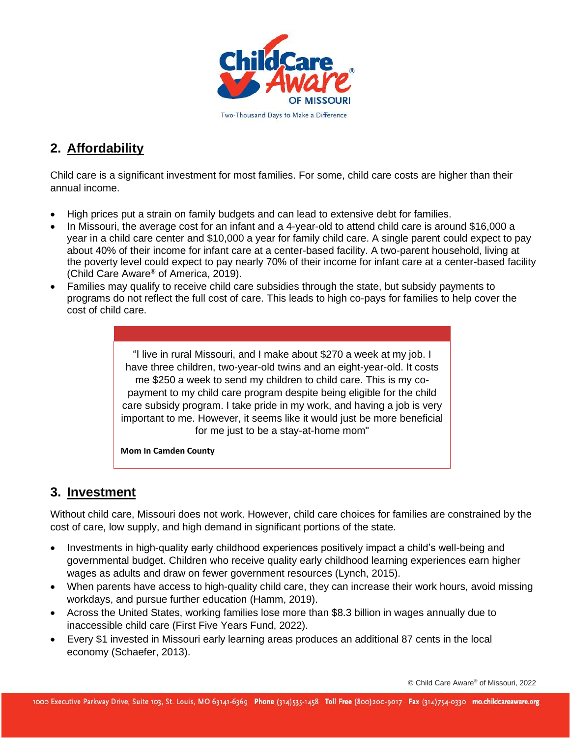

#### **2. Affordability**

Child care is a significant investment for most families. For some, child care costs are higher than their annual income.

- High prices put a strain on family budgets and can lead to extensive debt for families.
- In Missouri, the average cost for an infant and a 4-year-old to attend child care is around \$16,000 a year in a child care center and \$10,000 a year for family child care. A single parent could expect to pay about 40% of their income for infant care at a center-based facility. A two-parent household, living at the poverty level could expect to pay nearly 70% of their income for infant care at a center-based facility (Child Care Aware® of America, 2019).
- Families may qualify to receive child care subsidies through the state, but subsidy payments to programs do not reflect the full cost of care. This leads to high co-pays for families to help cover the cost of child care.

"I live in rural Missouri, and I make about \$270 a week at my job. I have three children, two-year-old twins and an eight-year-old. It costs me \$250 a week to send my children to child care. This is my copayment to my child care program despite being eligible for the child care subsidy program. I take pride in my work, and having a job is very important to me. However, it seems like it would just be more beneficial for me just to be a stay-at-home mom"

**Mom In Camden County** 

#### **3. Investment**

Without child care, Missouri does not work. However, child care choices for families are constrained by the cost of care, low supply, and high demand in significant portions of the state.

- Investments in high-quality early childhood experiences positively impact a child's well-being and governmental budget. Children who receive quality early childhood learning experiences earn higher wages as adults and draw on fewer government resources (Lynch, 2015).
- When parents have access to high-quality child care, they can increase their work hours, avoid missing workdays, and pursue further education (Hamm, 2019).
- Across the United States, working families lose more than \$8.3 billion in wages annually due to inaccessible child care (First Five Years Fund, 2022).
- Every \$1 invested in Missouri early learning areas produces an additional 87 cents in the local economy (Schaefer, 2013).

© Child Care Aware® of Missouri, 2022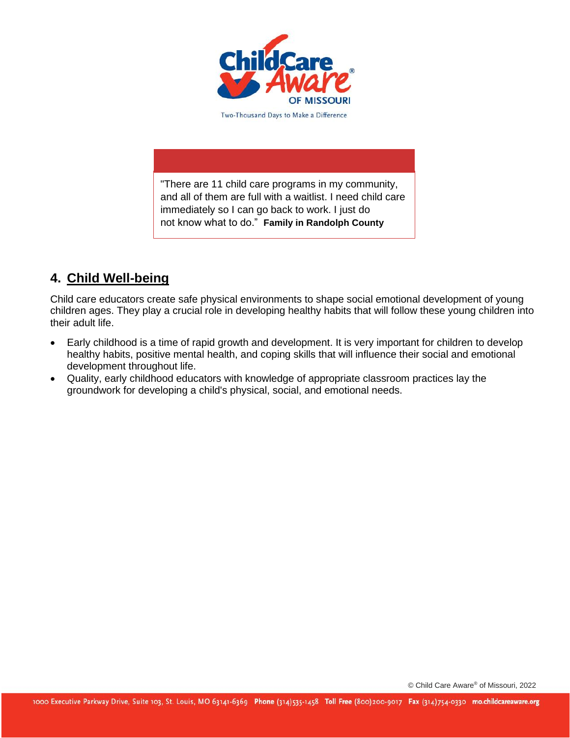

"There are 11 child care programs in my community, and all of them are full with a waitlist. I need child care immediately so I can go back to work. I just do not know what to do." **Family in Randolph County**

### **4. Child Well-being**

Child care educators create safe physical environments to shape social emotional development of young children ages. They play a crucial role in developing healthy habits that will follow these young children into their adult life.

- Early childhood is a time of rapid growth and development. It is very important for children to develop healthy habits, positive mental health, and coping skills that will influence their social and emotional development throughout life.
- Quality, early childhood educators with knowledge of appropriate classroom practices lay the groundwork for developing a child's physical, social, and emotional needs.